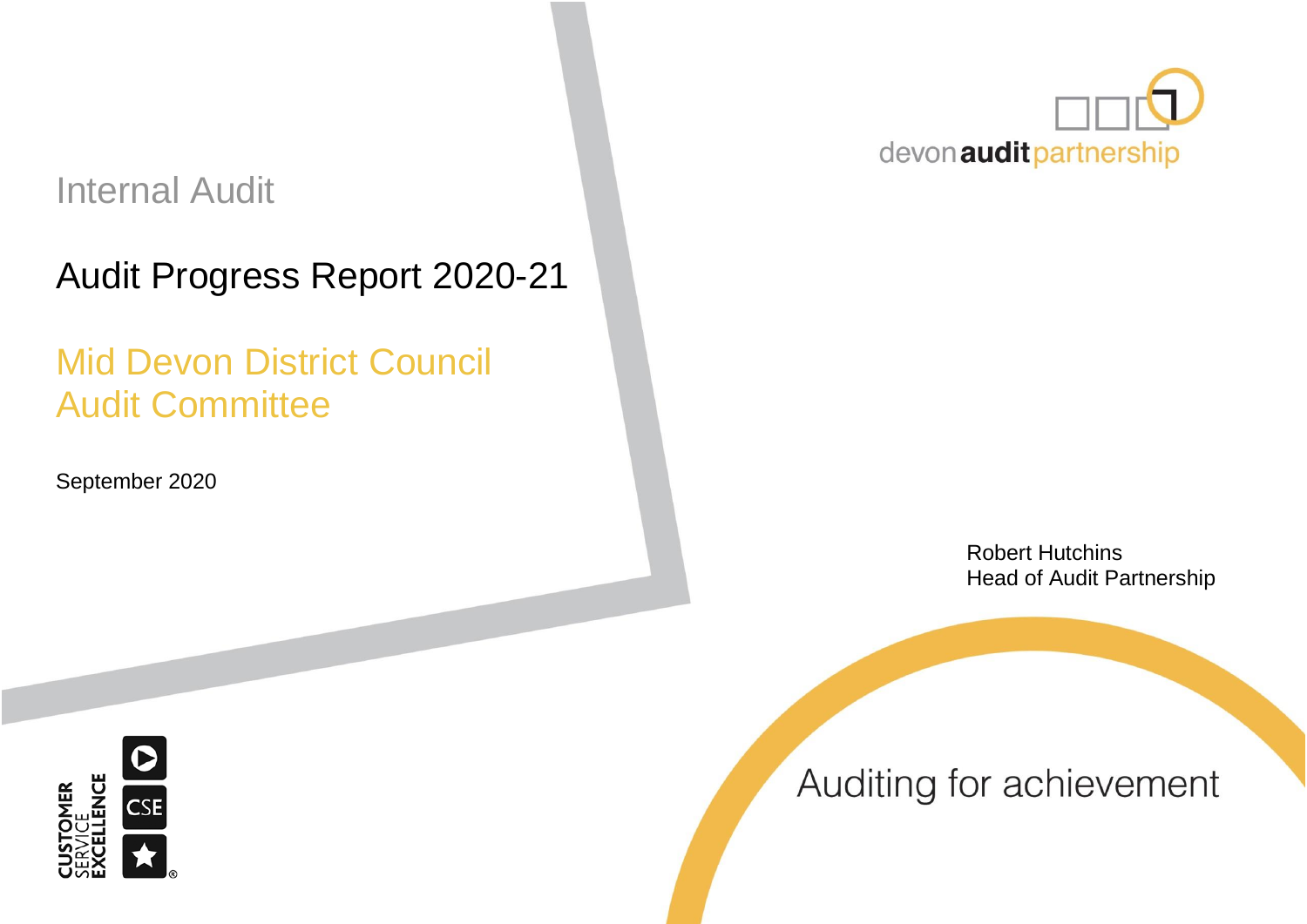# Internal Audit

# Audit Progress Report 2020-21

# Mid Devon District Council Audit Committee

September 2020



Robert Hutchins Head of Audit Partnership



Auditing for achievement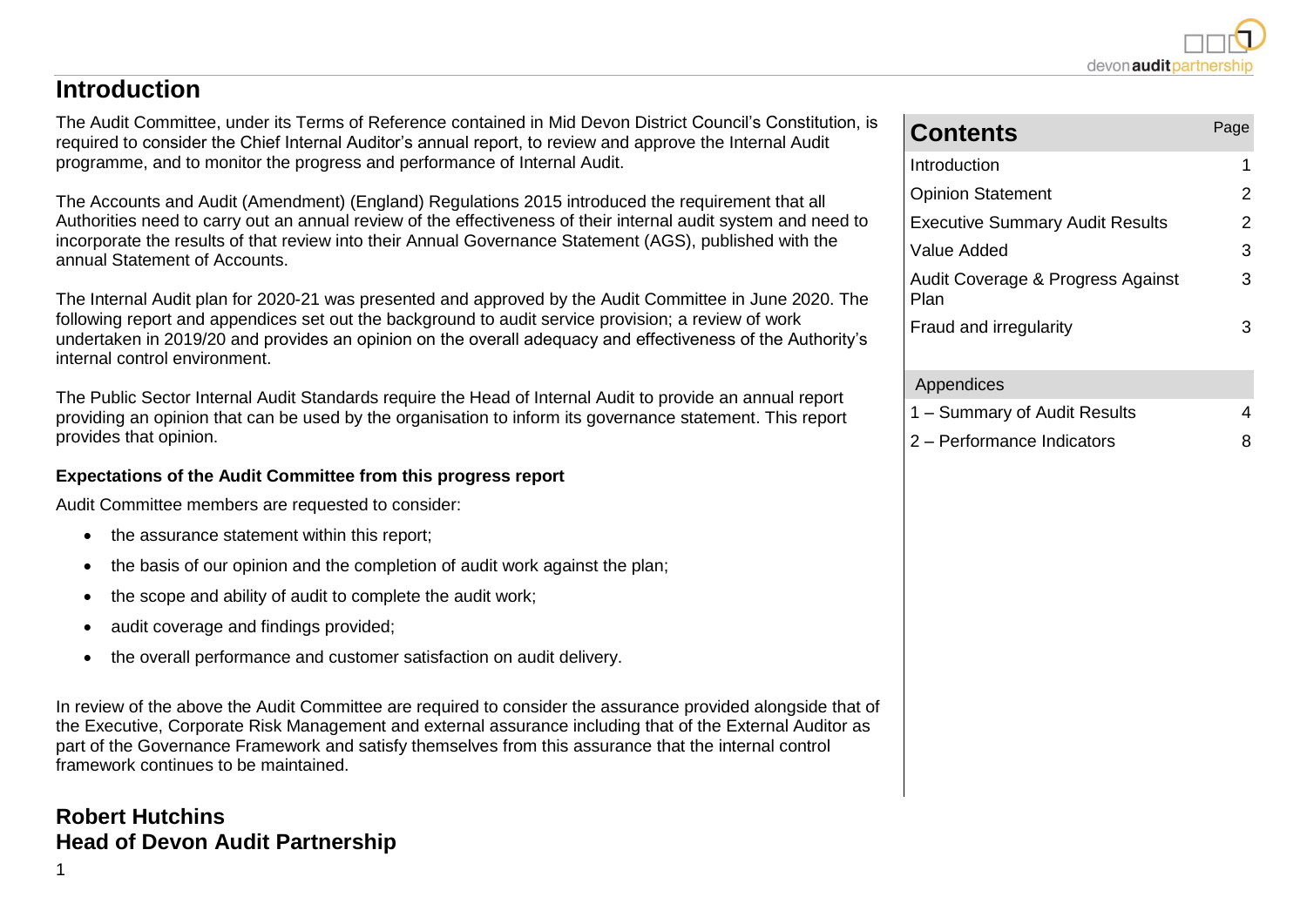#### **Introduction**

The Audit Committee, under its Terms of Reference contained in Mid Devon District Council's Constitution, is required to consider the Chief Internal Auditor's annual report, to review and approve the Internal Audit programme, and to monitor the progress and performance of Internal Audit.

The Accounts and Audit (Amendment) (England) Regulations 2015 introduced the requirement that all Authorities need to carry out an annual review of the effectiveness of their internal audit system and need to incorporate the results of that review into their Annual Governance Statement (AGS), published with the annual Statement of Accounts.

The Internal Audit plan for 2020-21 was presented and approved by the Audit Committee in June 2020. The following report and appendices set out the background to audit service provision; a review of work undertaken in 2019/20 and provides an opinion on the overall adequacy and effectiveness of the Authority's internal control environment.

The Public Sector Internal Audit Standards require the Head of Internal Audit to provide an annual report providing an opinion that can be used by the organisation to inform its governance statement. This report provides that opinion.

#### **Expectations of the Audit Committee from this progress report**

Audit Committee members are requested to consider:

- the assurance statement within this report;
- the basis of our opinion and the completion of audit work against the plan;
- the scope and ability of audit to complete the audit work;
- audit coverage and findings provided;
- the overall performance and customer satisfaction on audit delivery.

In review of the above the Audit Committee are required to consider the assurance provided alongside that of the Executive, Corporate Risk Management and external assurance including that of the External Auditor as part of the Governance Framework and satisfy themselves from this assurance that the internal control framework continues to be maintained.

#### **Robert Hutchins Head of Devon Audit Partnership**

1

| <b>Contents</b>                           | Page |
|-------------------------------------------|------|
| Introduction                              | 1    |
| <b>Opinion Statement</b>                  | 2    |
| <b>Executive Summary Audit Results</b>    | 2    |
| Value Added                               | 3    |
| Audit Coverage & Progress Against<br>Plan | 3    |
| Fraud and irregularity                    | З    |
| Appendices                                |      |
| 1 – Summary of Audit Results              |      |

2 – Performance Indicators 8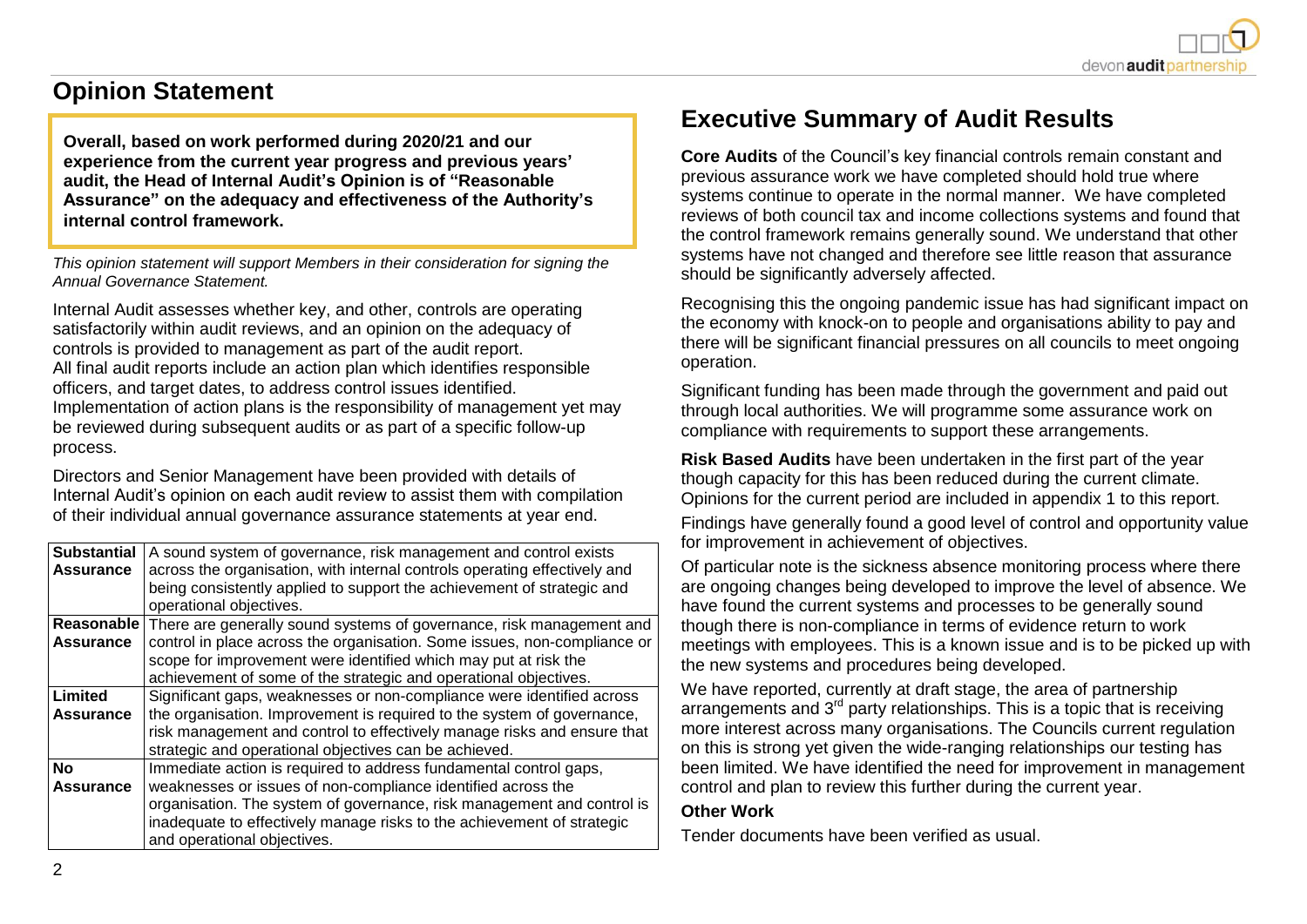

### **Opinion Statement**

**Overall, based on work performed during 2020/21 and our experience from the current year progress and previous years' audit, the Head of Internal Audit's Opinion is of "Reasonable Assurance" on the adequacy and effectiveness of the Authority's internal control framework.**

*This opinion statement will support Members in their consideration for signing the Annual Governance Statement.*

Internal Audit assesses whether key, and other, controls are operating satisfactorily within audit reviews, and an opinion on the adequacy of controls is provided to management as part of the audit report. All final audit reports include an action plan which identifies responsible officers, and target dates, to address control issues identified. Implementation of action plans is the responsibility of management yet may be reviewed during subsequent audits or as part of a specific follow-up process.

Directors and Senior Management have been provided with details of Internal Audit's opinion on each audit review to assist them with compilation of their individual annual governance assurance statements at year end.

| <b>Substantial</b><br><b>Assurance</b> | A sound system of governance, risk management and control exists<br>across the organisation, with internal controls operating effectively and<br>being consistently applied to support the achievement of strategic and<br>operational objectives.                                                                   |
|----------------------------------------|----------------------------------------------------------------------------------------------------------------------------------------------------------------------------------------------------------------------------------------------------------------------------------------------------------------------|
| Reasonable<br><b>Assurance</b>         | There are generally sound systems of governance, risk management and<br>control in place across the organisation. Some issues, non-compliance or<br>scope for improvement were identified which may put at risk the<br>achievement of some of the strategic and operational objectives.                              |
| Limited<br><b>Assurance</b>            | Significant gaps, weaknesses or non-compliance were identified across<br>the organisation. Improvement is required to the system of governance,<br>risk management and control to effectively manage risks and ensure that<br>strategic and operational objectives can be achieved.                                  |
| <b>No</b><br><b>Assurance</b>          | Immediate action is required to address fundamental control gaps,<br>weaknesses or issues of non-compliance identified across the<br>organisation. The system of governance, risk management and control is<br>inadequate to effectively manage risks to the achievement of strategic<br>and operational objectives. |

## **Executive Summary of Audit Results**

**Core Audits** of the Council's key financial controls remain constant and previous assurance work we have completed should hold true where systems continue to operate in the normal manner. We have completed reviews of both council tax and income collections systems and found that the control framework remains generally sound. We understand that other systems have not changed and therefore see little reason that assurance should be significantly adversely affected.

Recognising this the ongoing pandemic issue has had significant impact on the economy with knock-on to people and organisations ability to pay and there will be significant financial pressures on all councils to meet ongoing operation.

Significant funding has been made through the government and paid out through local authorities. We will programme some assurance work on compliance with requirements to support these arrangements.

**Risk Based Audits** have been undertaken in the first part of the year though capacity for this has been reduced during the current climate. Opinions for the current period are included in appendix 1 to this report.

Findings have generally found a good level of control and opportunity value for improvement in achievement of objectives.

Of particular note is the sickness absence monitoring process where there are ongoing changes being developed to improve the level of absence. We have found the current systems and processes to be generally sound though there is non-compliance in terms of evidence return to work meetings with employees. This is a known issue and is to be picked up with the new systems and procedures being developed.

We have reported, currently at draft stage, the area of partnership arrangements and  $3<sup>rd</sup>$  party relationships. This is a topic that is receiving more interest across many organisations. The Councils current regulation on this is strong yet given the wide-ranging relationships our testing has been limited. We have identified the need for improvement in management control and plan to review this further during the current year.

#### **Other Work**

Tender documents have been verified as usual.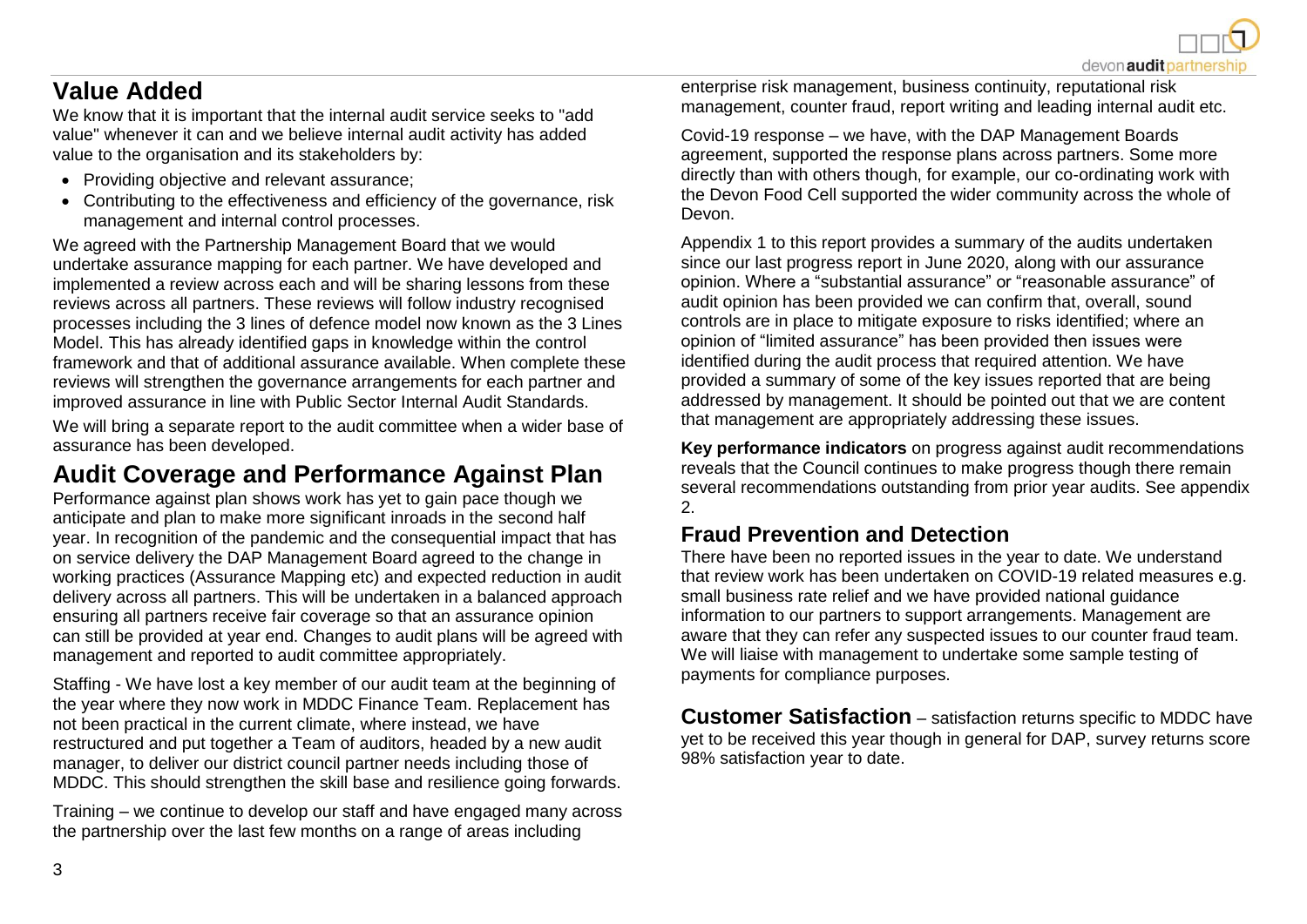## **Value Added**

We know that it is important that the internal audit service seeks to "add value" whenever it can and we believe internal audit activity has added value to the organisation and its stakeholders by:

- Providing objective and relevant assurance;
- Contributing to the effectiveness and efficiency of the governance, risk management and internal control processes.

We agreed with the Partnership Management Board that we would undertake assurance mapping for each partner. We have developed and implemented a review across each and will be sharing lessons from these reviews across all partners. These reviews will follow industry recognised processes including the 3 lines of defence model now known as the 3 Lines Model. This has already identified gaps in knowledge within the control framework and that of additional assurance available. When complete these reviews will strengthen the governance arrangements for each partner and improved assurance in line with Public Sector Internal Audit Standards.

We will bring a separate report to the audit committee when a wider base of assurance has been developed.

# **Audit Coverage and Performance Against Plan**

Performance against plan shows work has yet to gain pace though we anticipate and plan to make more significant inroads in the second half year. In recognition of the pandemic and the consequential impact that has on service delivery the DAP Management Board agreed to the change in working practices (Assurance Mapping etc) and expected reduction in audit delivery across all partners. This will be undertaken in a balanced approach ensuring all partners receive fair coverage so that an assurance opinion can still be provided at year end. Changes to audit plans will be agreed with management and reported to audit committee appropriately.

Staffing - We have lost a key member of our audit team at the beginning of the year where they now work in MDDC Finance Team. Replacement has not been practical in the current climate, where instead, we have restructured and put together a Team of auditors, headed by a new audit manager, to deliver our district council partner needs including those of MDDC. This should strengthen the skill base and resilience going forwards.

Training – we continue to develop our staff and have engaged many across the partnership over the last few months on a range of areas including

enterprise risk management, business continuity, reputational risk management, counter fraud, report writing and leading internal audit etc.

Covid-19 response – we have, with the DAP Management Boards agreement, supported the response plans across partners. Some more directly than with others though, for example, our co-ordinating work with the Devon Food Cell supported the wider community across the whole of Devon.

Appendix 1 to this report provides a summary of the audits undertaken since our last progress report in June 2020, along with our assurance opinion. Where a "substantial assurance" or "reasonable assurance" of audit opinion has been provided we can confirm that, overall, sound controls are in place to mitigate exposure to risks identified; where an opinion of "limited assurance" has been provided then issues were identified during the audit process that required attention. We have provided a summary of some of the key issues reported that are being addressed by management. It should be pointed out that we are content that management are appropriately addressing these issues.

**Key performance indicators** on progress against audit recommendations reveals that the Council continues to make progress though there remain several recommendations outstanding from prior year audits. See appendix 2.

#### **Fraud Prevention and Detection**

There have been no reported issues in the year to date. We understand that review work has been undertaken on COVID-19 related measures e.g. small business rate relief and we have provided national guidance information to our partners to support arrangements. Management are aware that they can refer any suspected issues to our counter fraud team. We will liaise with management to undertake some sample testing of payments for compliance purposes.

**Customer Satisfaction** – satisfaction returns specific to MDDC have yet to be received this year though in general for DAP, survey returns score 98% satisfaction year to date.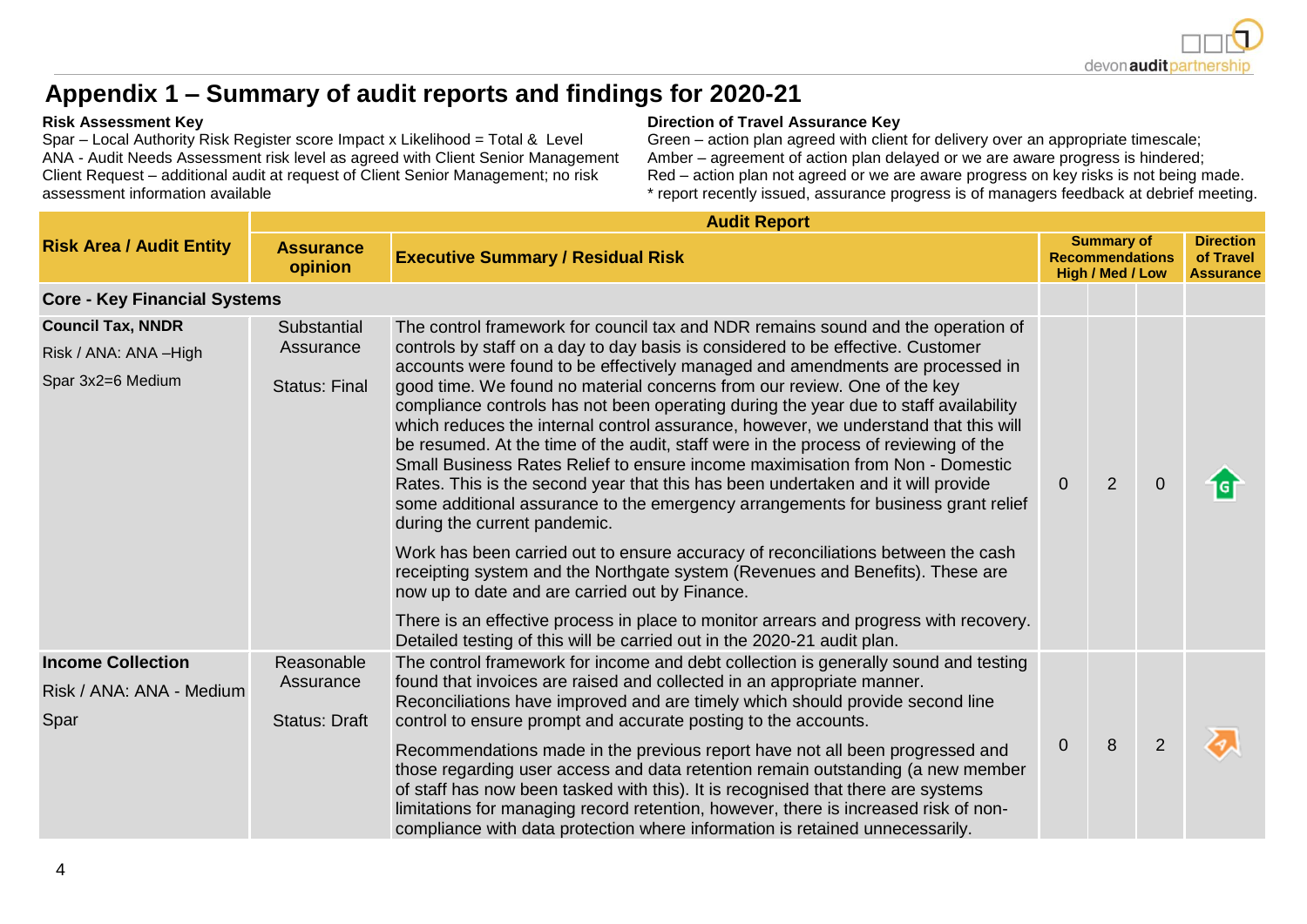

# **Appendix 1 – Summary of audit reports and findings for 2020-21**

Spar – Local Authority Risk Register score Impact x Likelihood = Total & Level ANA - Audit Needs Assessment risk level as agreed with Client Senior Management Client Request – additional audit at request of Client Senior Management; no risk assessment information available

#### **Risk Assessment Key Direction of Travel Assurance Key**

Green – action plan agreed with client for delivery over an appropriate timescale; Amber – agreement of action plan delayed or we are aware progress is hindered; Red – action plan not agreed or we are aware progress on key risks is not being made. \* report recently issued, assurance progress is of managers feedback at debrief meeting.

|                                                                        | <b>Audit Report</b>                              |                                                                                                                                                                                                                                                                                                                                                                                                                                                                                                                                                                                                                                                                                                                                                                                                                                                                                                                                                                                                                                                                                                                         |                |                |                |   |  |  |  |  |  |  |  |
|------------------------------------------------------------------------|--------------------------------------------------|-------------------------------------------------------------------------------------------------------------------------------------------------------------------------------------------------------------------------------------------------------------------------------------------------------------------------------------------------------------------------------------------------------------------------------------------------------------------------------------------------------------------------------------------------------------------------------------------------------------------------------------------------------------------------------------------------------------------------------------------------------------------------------------------------------------------------------------------------------------------------------------------------------------------------------------------------------------------------------------------------------------------------------------------------------------------------------------------------------------------------|----------------|----------------|----------------|---|--|--|--|--|--|--|--|
| <b>Risk Area / Audit Entity</b>                                        | <b>Assurance</b><br>opinion                      | <b>Executive Summary / Residual Risk</b>                                                                                                                                                                                                                                                                                                                                                                                                                                                                                                                                                                                                                                                                                                                                                                                                                                                                                                                                                                                                                                                                                |                |                |                |   |  |  |  |  |  |  |  |
| <b>Core - Key Financial Systems</b>                                    |                                                  |                                                                                                                                                                                                                                                                                                                                                                                                                                                                                                                                                                                                                                                                                                                                                                                                                                                                                                                                                                                                                                                                                                                         |                |                |                |   |  |  |  |  |  |  |  |
| <b>Council Tax, NNDR</b><br>Risk / ANA: ANA -High<br>Spar 3x2=6 Medium | Substantial<br>Assurance<br><b>Status: Final</b> | The control framework for council tax and NDR remains sound and the operation of<br>controls by staff on a day to day basis is considered to be effective. Customer<br>accounts were found to be effectively managed and amendments are processed in<br>good time. We found no material concerns from our review. One of the key<br>compliance controls has not been operating during the year due to staff availability<br>which reduces the internal control assurance, however, we understand that this will<br>be resumed. At the time of the audit, staff were in the process of reviewing of the<br>Small Business Rates Relief to ensure income maximisation from Non - Domestic<br>Rates. This is the second year that this has been undertaken and it will provide<br>some additional assurance to the emergency arrangements for business grant relief<br>during the current pandemic.<br>Work has been carried out to ensure accuracy of reconciliations between the cash<br>receipting system and the Northgate system (Revenues and Benefits). These are<br>now up to date and are carried out by Finance. | $\overline{0}$ | $\overline{2}$ | $\overline{0}$ | G |  |  |  |  |  |  |  |
|                                                                        |                                                  | There is an effective process in place to monitor arrears and progress with recovery.<br>Detailed testing of this will be carried out in the 2020-21 audit plan.                                                                                                                                                                                                                                                                                                                                                                                                                                                                                                                                                                                                                                                                                                                                                                                                                                                                                                                                                        |                |                |                |   |  |  |  |  |  |  |  |
| <b>Income Collection</b><br>Risk / ANA: ANA - Medium<br>Spar           | Reasonable<br>Assurance<br><b>Status: Draft</b>  | The control framework for income and debt collection is generally sound and testing<br>found that invoices are raised and collected in an appropriate manner.<br>Reconciliations have improved and are timely which should provide second line<br>control to ensure prompt and accurate posting to the accounts.                                                                                                                                                                                                                                                                                                                                                                                                                                                                                                                                                                                                                                                                                                                                                                                                        | $\overline{0}$ | 8              | $\overline{2}$ |   |  |  |  |  |  |  |  |
|                                                                        |                                                  | Recommendations made in the previous report have not all been progressed and<br>those regarding user access and data retention remain outstanding (a new member<br>of staff has now been tasked with this). It is recognised that there are systems<br>limitations for managing record retention, however, there is increased risk of non-<br>compliance with data protection where information is retained unnecessarily.                                                                                                                                                                                                                                                                                                                                                                                                                                                                                                                                                                                                                                                                                              |                |                |                |   |  |  |  |  |  |  |  |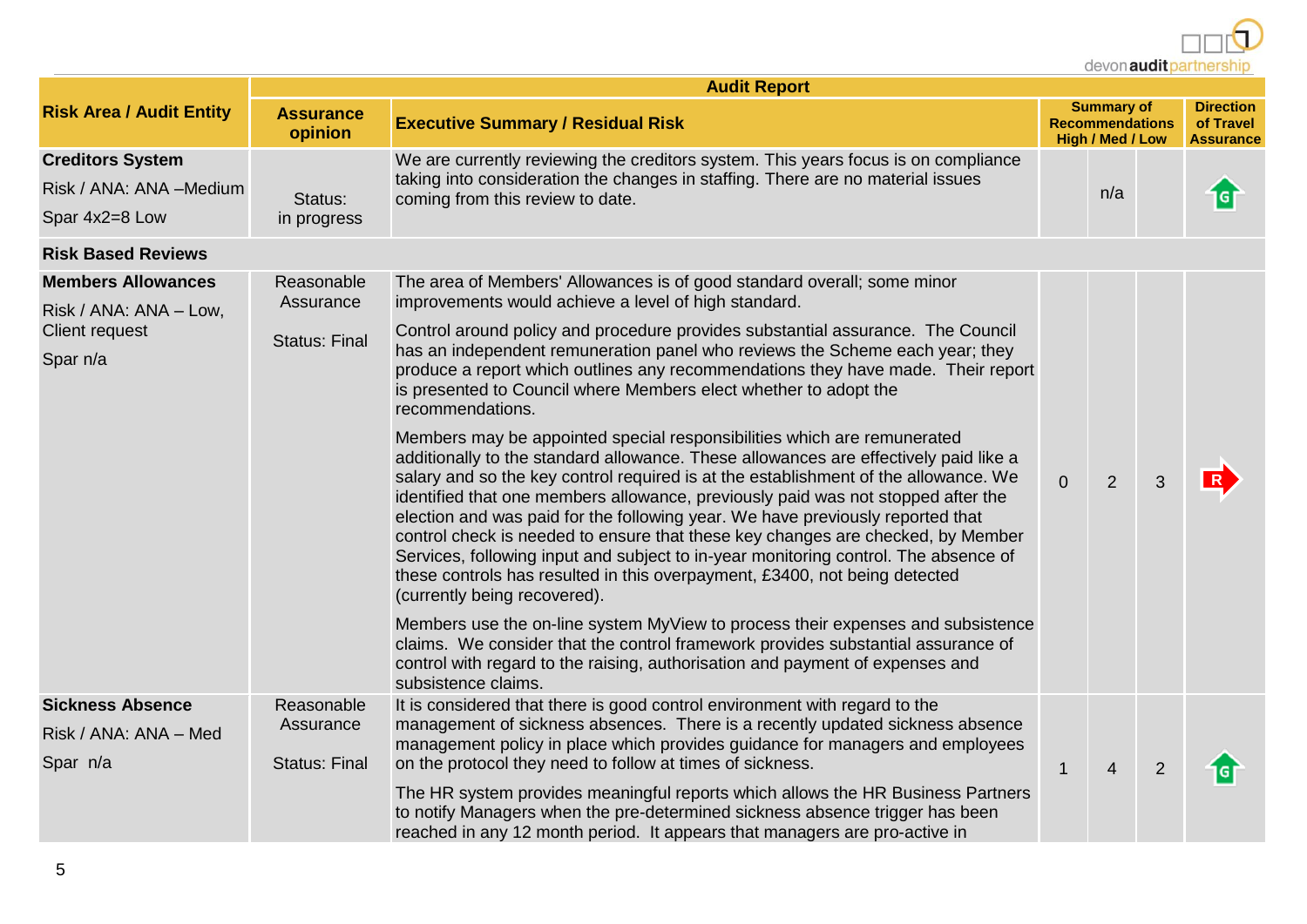devon audit partnership

|                                                                                   | <b>Audit Report</b>                             |                                                                                                                                                                                                                                                                                                                                                                                                                                                                                                                                                                                                                                                                                                                                                                                                                                                                                                                                                                                                                                                                                                                                                                        |                |                                                                 |                |                                                   |  |  |  |  |  |  |  |
|-----------------------------------------------------------------------------------|-------------------------------------------------|------------------------------------------------------------------------------------------------------------------------------------------------------------------------------------------------------------------------------------------------------------------------------------------------------------------------------------------------------------------------------------------------------------------------------------------------------------------------------------------------------------------------------------------------------------------------------------------------------------------------------------------------------------------------------------------------------------------------------------------------------------------------------------------------------------------------------------------------------------------------------------------------------------------------------------------------------------------------------------------------------------------------------------------------------------------------------------------------------------------------------------------------------------------------|----------------|-----------------------------------------------------------------|----------------|---------------------------------------------------|--|--|--|--|--|--|--|
| <b>Risk Area / Audit Entity</b>                                                   | <b>Assurance</b><br>opinion                     | <b>Executive Summary / Residual Risk</b>                                                                                                                                                                                                                                                                                                                                                                                                                                                                                                                                                                                                                                                                                                                                                                                                                                                                                                                                                                                                                                                                                                                               |                | <b>Summary of</b><br><b>Recommendations</b><br>High / Med / Low |                | <b>Direction</b><br>of Travel<br><b>Assurance</b> |  |  |  |  |  |  |  |
| <b>Creditors System</b><br>Risk / ANA: ANA -Medium<br>Spar 4x2=8 Low              | Status:<br>in progress                          | We are currently reviewing the creditors system. This years focus is on compliance<br>taking into consideration the changes in staffing. There are no material issues<br>coming from this review to date.                                                                                                                                                                                                                                                                                                                                                                                                                                                                                                                                                                                                                                                                                                                                                                                                                                                                                                                                                              |                | n/a                                                             |                | ច                                                 |  |  |  |  |  |  |  |
| <b>Risk Based Reviews</b>                                                         |                                                 |                                                                                                                                                                                                                                                                                                                                                                                                                                                                                                                                                                                                                                                                                                                                                                                                                                                                                                                                                                                                                                                                                                                                                                        |                |                                                                 |                |                                                   |  |  |  |  |  |  |  |
| <b>Members Allowances</b><br>Risk / ANA: ANA - Low,<br>Client request<br>Spar n/a | Reasonable<br>Assurance<br><b>Status: Final</b> | The area of Members' Allowances is of good standard overall; some minor<br>improvements would achieve a level of high standard.<br>Control around policy and procedure provides substantial assurance. The Council<br>has an independent remuneration panel who reviews the Scheme each year; they<br>produce a report which outlines any recommendations they have made. Their report<br>is presented to Council where Members elect whether to adopt the<br>recommendations.<br>Members may be appointed special responsibilities which are remunerated<br>additionally to the standard allowance. These allowances are effectively paid like a<br>salary and so the key control required is at the establishment of the allowance. We<br>identified that one members allowance, previously paid was not stopped after the<br>election and was paid for the following year. We have previously reported that<br>control check is needed to ensure that these key changes are checked, by Member<br>Services, following input and subject to in-year monitoring control. The absence of<br>these controls has resulted in this overpayment, £3400, not being detected | $\overline{0}$ | $\overline{2}$                                                  | 3              | R                                                 |  |  |  |  |  |  |  |
| <b>Sickness Absence</b><br>Risk / ANA: ANA - Med<br>Spar n/a                      | Reasonable<br>Assurance<br><b>Status: Final</b> | (currently being recovered).<br>Members use the on-line system MyView to process their expenses and subsistence<br>claims. We consider that the control framework provides substantial assurance of<br>control with regard to the raising, authorisation and payment of expenses and<br>subsistence claims.<br>It is considered that there is good control environment with regard to the<br>management of sickness absences. There is a recently updated sickness absence<br>management policy in place which provides guidance for managers and employees<br>on the protocol they need to follow at times of sickness.                                                                                                                                                                                                                                                                                                                                                                                                                                                                                                                                               | $\mathbf{1}$   | $\overline{4}$                                                  | $\overline{2}$ | G                                                 |  |  |  |  |  |  |  |
|                                                                                   |                                                 | The HR system provides meaningful reports which allows the HR Business Partners<br>to notify Managers when the pre-determined sickness absence trigger has been<br>reached in any 12 month period. It appears that managers are pro-active in                                                                                                                                                                                                                                                                                                                                                                                                                                                                                                                                                                                                                                                                                                                                                                                                                                                                                                                          |                |                                                                 |                |                                                   |  |  |  |  |  |  |  |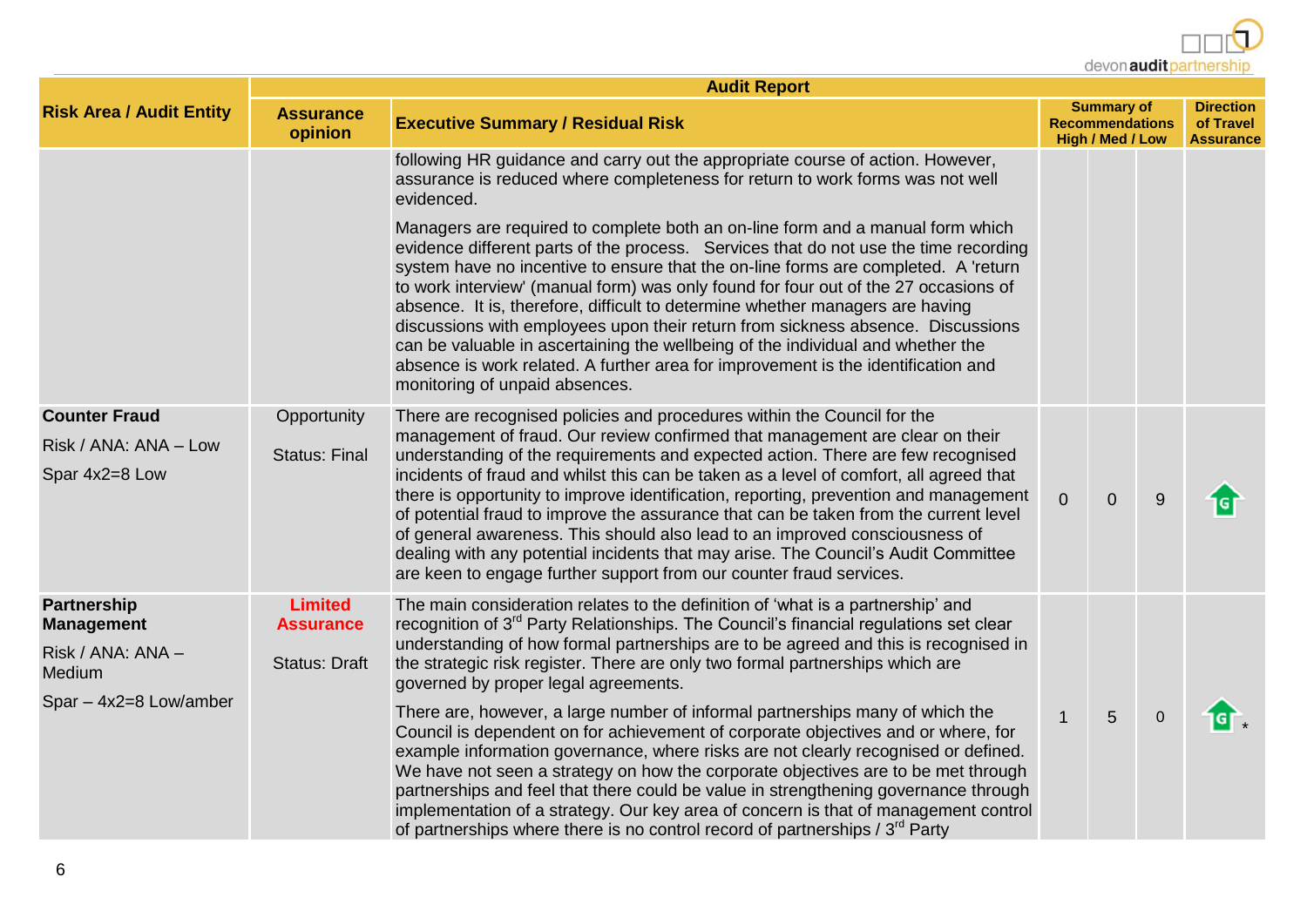devon audit partnership

|                                         | <b>Audit Report</b>                |                                                                                                                                                                                                                                                                                                                                                                                                                                                                                                                                                                                                                                                                                                                                   |                                                                        |                                                   |           |            |  |  |  |  |  |  |  |
|-----------------------------------------|------------------------------------|-----------------------------------------------------------------------------------------------------------------------------------------------------------------------------------------------------------------------------------------------------------------------------------------------------------------------------------------------------------------------------------------------------------------------------------------------------------------------------------------------------------------------------------------------------------------------------------------------------------------------------------------------------------------------------------------------------------------------------------|------------------------------------------------------------------------|---------------------------------------------------|-----------|------------|--|--|--|--|--|--|--|
| <b>Risk Area / Audit Entity</b>         | <b>Assurance</b><br>opinion        |                                                                                                                                                                                                                                                                                                                                                                                                                                                                                                                                                                                                                                                                                                                                   | <b>Summary of</b><br><b>Recommendations</b><br><b>High / Med / Low</b> | <b>Direction</b><br>of Travel<br><b>Assurance</b> |           |            |  |  |  |  |  |  |  |
|                                         |                                    | following HR guidance and carry out the appropriate course of action. However,<br>assurance is reduced where completeness for return to work forms was not well<br>evidenced.                                                                                                                                                                                                                                                                                                                                                                                                                                                                                                                                                     |                                                                        |                                                   |           |            |  |  |  |  |  |  |  |
|                                         |                                    | Managers are required to complete both an on-line form and a manual form which<br>evidence different parts of the process. Services that do not use the time recording<br>system have no incentive to ensure that the on-line forms are completed. A 'return<br>to work interview' (manual form) was only found for four out of the 27 occasions of<br>absence. It is, therefore, difficult to determine whether managers are having<br>discussions with employees upon their return from sickness absence. Discussions<br>can be valuable in ascertaining the wellbeing of the individual and whether the<br>absence is work related. A further area for improvement is the identification and<br>monitoring of unpaid absences. |                                                                        |                                                   |           |            |  |  |  |  |  |  |  |
| <b>Counter Fraud</b>                    | Opportunity                        | There are recognised policies and procedures within the Council for the                                                                                                                                                                                                                                                                                                                                                                                                                                                                                                                                                                                                                                                           |                                                                        |                                                   |           |            |  |  |  |  |  |  |  |
| Risk / ANA: ANA - Low<br>Spar 4x2=8 Low | <b>Status: Final</b>               | management of fraud. Our review confirmed that management are clear on their<br>understanding of the requirements and expected action. There are few recognised<br>incidents of fraud and whilst this can be taken as a level of comfort, all agreed that<br>there is opportunity to improve identification, reporting, prevention and management<br>of potential fraud to improve the assurance that can be taken from the current level<br>of general awareness. This should also lead to an improved consciousness of<br>dealing with any potential incidents that may arise. The Council's Audit Committee<br>are keen to engage further support from our counter fraud services.                                             | $\overline{0}$                                                         | $\overline{0}$                                    | 9         | <b>ici</b> |  |  |  |  |  |  |  |
| Partnership<br><b>Management</b>        | <b>Limited</b><br><b>Assurance</b> | The main consideration relates to the definition of 'what is a partnership' and<br>recognition of 3 <sup>rd</sup> Party Relationships. The Council's financial regulations set clear                                                                                                                                                                                                                                                                                                                                                                                                                                                                                                                                              |                                                                        |                                                   |           |            |  |  |  |  |  |  |  |
| Risk / ANA: ANA -<br>Medium             | <b>Status: Draft</b>               | understanding of how formal partnerships are to be agreed and this is recognised in<br>the strategic risk register. There are only two formal partnerships which are<br>governed by proper legal agreements.                                                                                                                                                                                                                                                                                                                                                                                                                                                                                                                      |                                                                        |                                                   |           |            |  |  |  |  |  |  |  |
| Spar - 4x2=8 Low/amber                  |                                    | There are, however, a large number of informal partnerships many of which the<br>Council is dependent on for achievement of corporate objectives and or where, for<br>example information governance, where risks are not clearly recognised or defined.<br>We have not seen a strategy on how the corporate objectives are to be met through<br>partnerships and feel that there could be value in strengthening governance through<br>implementation of a strategy. Our key area of concern is that of management control<br>of partnerships where there is no control record of partnerships / $3^{rd}$ Party                                                                                                                  | $\mathbf{1}$                                                           | 5                                                 | $\pmb{0}$ | IGT.       |  |  |  |  |  |  |  |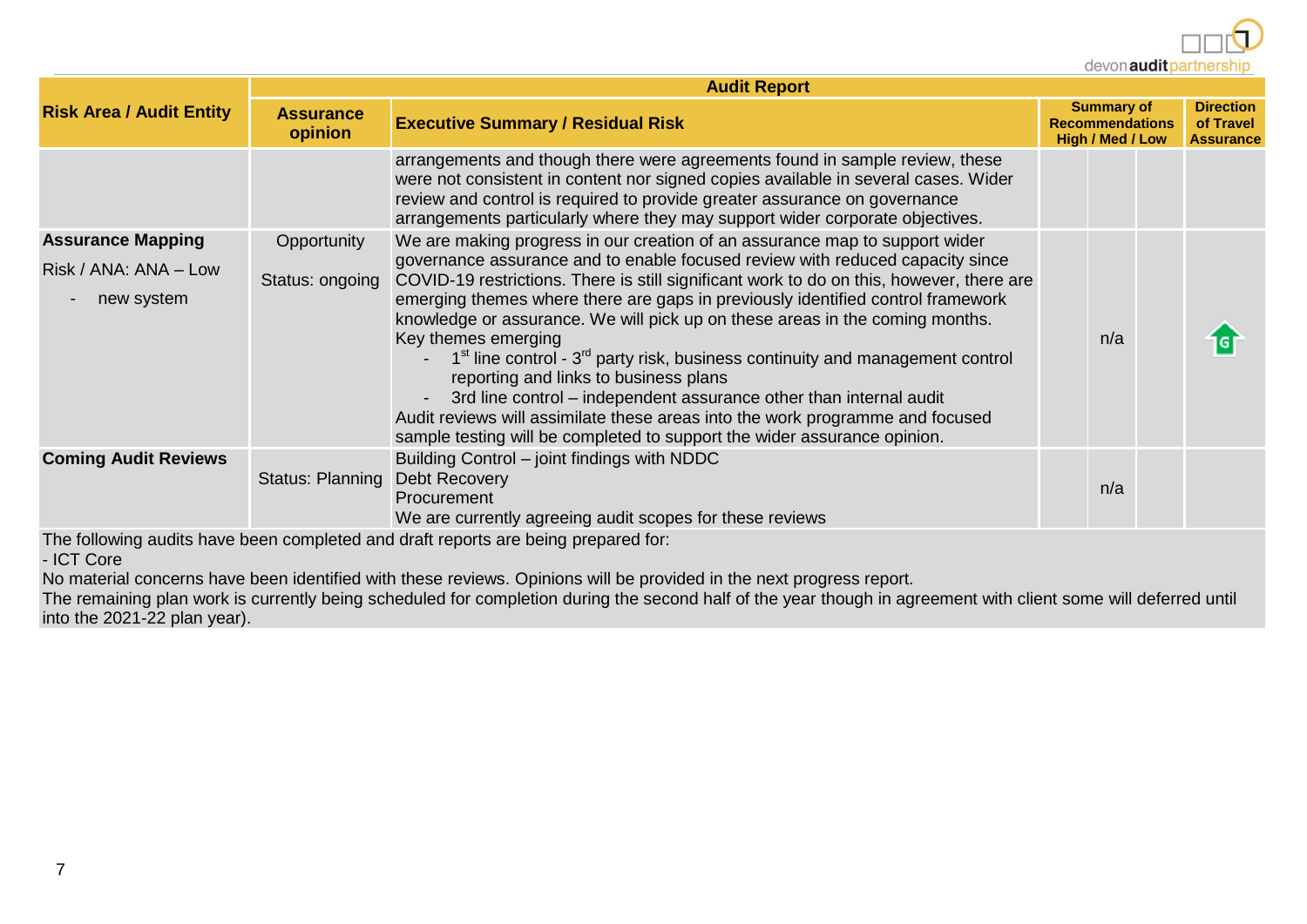devon audit partnership

|                                     | <b>Audit Report</b>         |                                                                                                                                                                                                                                                                                                                                                                                                                                                                                                                                                                                                                                                                                                                                      |  |     |  |   |  |  |  |  |  |  |  |
|-------------------------------------|-----------------------------|--------------------------------------------------------------------------------------------------------------------------------------------------------------------------------------------------------------------------------------------------------------------------------------------------------------------------------------------------------------------------------------------------------------------------------------------------------------------------------------------------------------------------------------------------------------------------------------------------------------------------------------------------------------------------------------------------------------------------------------|--|-----|--|---|--|--|--|--|--|--|--|
| <b>Risk Area / Audit Entity</b>     | <b>Assurance</b><br>opinion | <b>Executive Summary / Residual Risk</b>                                                                                                                                                                                                                                                                                                                                                                                                                                                                                                                                                                                                                                                                                             |  |     |  |   |  |  |  |  |  |  |  |
|                                     |                             | arrangements and though there were agreements found in sample review, these<br>were not consistent in content nor signed copies available in several cases. Wider<br>review and control is required to provide greater assurance on governance<br>arrangements particularly where they may support wider corporate objectives.                                                                                                                                                                                                                                                                                                                                                                                                       |  |     |  |   |  |  |  |  |  |  |  |
| <b>Assurance Mapping</b>            | Opportunity                 | We are making progress in our creation of an assurance map to support wider                                                                                                                                                                                                                                                                                                                                                                                                                                                                                                                                                                                                                                                          |  |     |  |   |  |  |  |  |  |  |  |
| Risk / ANA: ANA - Low<br>new system | Status: ongoing             | governance assurance and to enable focused review with reduced capacity since<br>COVID-19 restrictions. There is still significant work to do on this, however, there are<br>emerging themes where there are gaps in previously identified control framework<br>knowledge or assurance. We will pick up on these areas in the coming months.<br>Key themes emerging<br>$1st$ line control - $3rd$ party risk, business continuity and management control<br>reporting and links to business plans<br>3rd line control – independent assurance other than internal audit<br>Audit reviews will assimilate these areas into the work programme and focused<br>sample testing will be completed to support the wider assurance opinion. |  | n/a |  | G |  |  |  |  |  |  |  |
| <b>Coming Audit Reviews</b>         | Status: Planning            | Building Control - joint findings with NDDC<br>Debt Recovery<br>Procurement<br>We are currently agreeing audit scopes for these reviews                                                                                                                                                                                                                                                                                                                                                                                                                                                                                                                                                                                              |  | n/a |  |   |  |  |  |  |  |  |  |
|                                     |                             | The following audits have been completed and draft reports are being prepared for:                                                                                                                                                                                                                                                                                                                                                                                                                                                                                                                                                                                                                                                   |  |     |  |   |  |  |  |  |  |  |  |

- ICT Core

No material concerns have been identified with these reviews. Opinions will be provided in the next progress report.

The remaining plan work is currently being scheduled for completion during the second half of the year though in agreement with client some will deferred until into the 2021-22 plan year).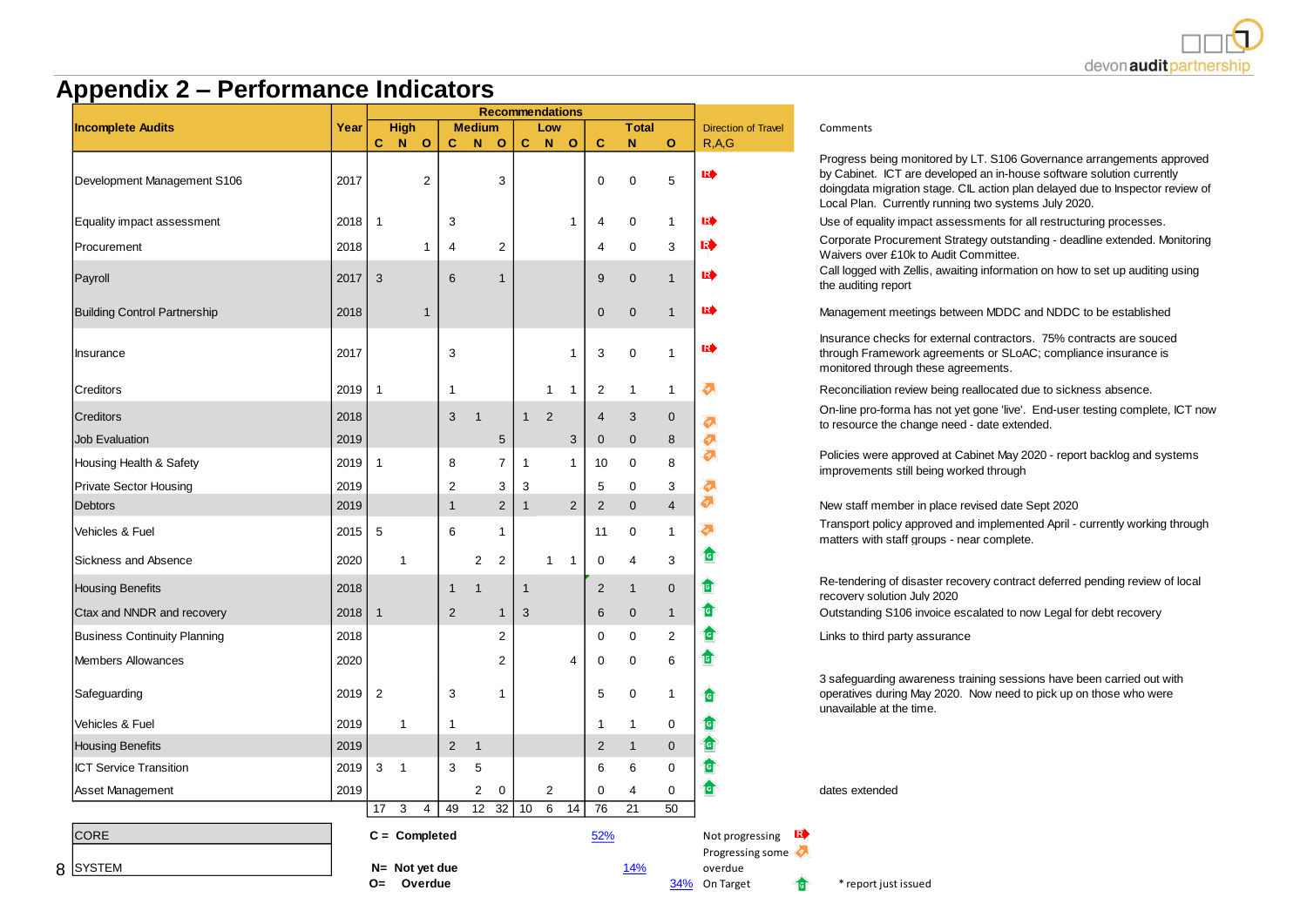

#### **Appendix 2 – Performance Indicators**

|                                     |      | <b>Recommendations</b> |                              |                |                |                |              |                |                |                |                |                |                                                   |                                                                           |  |  |
|-------------------------------------|------|------------------------|------------------------------|----------------|----------------|----------------|--------------|----------------|----------------|----------------|----------------|----------------|---------------------------------------------------|---------------------------------------------------------------------------|--|--|
| <b>Incomplete Audits</b>            |      |                        | <b>High</b>                  |                | <b>Medium</b>  |                |              | Low            |                |                | <b>Total</b>   |                | <b>Direction of Travel</b>                        | Comments                                                                  |  |  |
|                                     |      | C                      | $\mathbf N$<br>$\circ$       | C.             | N.             | $\circ$        | C.           | N              | $\circ$        | C              | N              | $\mathbf{o}$   | R.A.G                                             | Progress being monito                                                     |  |  |
| Development Management S106         | 2017 |                        | $\overline{2}$               |                |                | 3              |              |                |                | 0              | $\mathbf 0$    | 5              | RŞ                                                | by Cabinet. ICT are do<br>doingdata migration st<br>Local Plan. Currently |  |  |
| Equality impact assessment          | 2018 | $\mathbf{1}$           |                              | 3              |                |                |              |                | $\mathbf 1$    | $\overline{4}$ | $\mathbf 0$    | $\mathbf{1}$   | RŞ                                                | Use of equality impact                                                    |  |  |
| Procurement                         | 2018 |                        | 1                            | 4              |                | $\overline{2}$ |              |                |                | $\overline{4}$ | $\mathbf 0$    | 3              | R                                                 | Corporate Procureme<br>Waivers over £10k to                               |  |  |
| Payroll                             | 2017 | 3                      |                              | 6              |                | $\mathbf{1}$   |              |                |                | 9              | $\overline{0}$ | $\mathbf{1}$   | RI                                                | Call logged with Zellis,<br>the auditing report                           |  |  |
| <b>Building Control Partnership</b> | 2018 |                        | $\mathbf{1}$                 |                |                |                |              |                |                | $\mathbf 0$    | $\mathbf 0$    | $\mathbf{1}$   | RŞ                                                | Management meetings                                                       |  |  |
| Insurance                           | 2017 |                        |                              | 3              |                |                |              |                | $\mathbf 1$    | 3              | $\pmb{0}$      | $\mathbf{1}$   | RŞ                                                | Insurance checks for<br>through Framework ag<br>monitored through the     |  |  |
| Creditors                           | 2019 | $\mathbf{1}$           |                              | -1             |                |                |              | 1              | $\mathbf{1}$   | $\overline{2}$ | $\mathbf{1}$   | $\mathbf{1}$   | 副                                                 | Reconciliation review I                                                   |  |  |
| Creditors                           | 2018 |                        |                              | 3              | $\overline{1}$ |                | $\mathbf{1}$ | $\overline{2}$ |                | $\overline{4}$ | 3              | $\mathbf 0$    | l.                                                | On-line pro-forma has<br>to resource the chang                            |  |  |
| <b>Job Evaluation</b>               | 2019 |                        |                              |                |                | 5              |              |                | 3              | $\overline{0}$ | $\overline{0}$ | 8              | $\overline{a}$                                    |                                                                           |  |  |
| Housing Health & Safety             | 2019 | $\mathbf{1}$           |                              | 8              |                | 7              | 1            |                | $\mathbf{1}$   | 10             | $\mathbf 0$    | 8              | $\tilde{\bm{a}}$                                  | Policies were approve<br>improvements still bei                           |  |  |
| <b>Private Sector Housing</b>       | 2019 |                        |                              | $\overline{2}$ |                | 3              | 3            |                |                | 5              | $\mathbf 0$    | 3              | è,                                                |                                                                           |  |  |
| <b>Debtors</b>                      | 2019 |                        |                              | $\overline{1}$ |                | $\overline{2}$ | $\mathbf{1}$ |                | $\overline{2}$ | $\overline{2}$ | $\Omega$       | $\overline{4}$ | $\overline{\Phi}$                                 | New staff member in p                                                     |  |  |
| Vehicles & Fuel                     | 2015 | 5                      |                              | 6              |                | 1              |              |                |                | 11             | 0              | 1              | 石                                                 | Transport policy appro<br>matters with staff grou                         |  |  |
| Sickness and Absence                | 2020 |                        | 1                            |                | 2              | $\overline{2}$ |              | 1              | $\mathbf 1$    | 0              | $\overline{4}$ | 3              | τ                                                 |                                                                           |  |  |
| <b>Housing Benefits</b>             | 2018 |                        |                              | $\overline{1}$ | 1              |                | $\mathbf{1}$ |                |                | $\overline{2}$ | $\mathbf{1}$   | $\overline{0}$ | ब                                                 | Re-tendering of disast<br>recovery solution July                          |  |  |
| Ctax and NNDR and recovery          | 2018 | $\mathbf{1}$           |                              | $\overline{2}$ |                | $\mathbf{1}$   | 3            |                |                | 6              | $\mathbf 0$    | $\mathbf{1}$   | ₫                                                 | Outstanding S106 invo                                                     |  |  |
| <b>Business Continuity Planning</b> | 2018 |                        |                              |                |                | $\overline{2}$ |              |                |                | $\mathbf 0$    | $\mathbf 0$    | $\overline{2}$ | 19                                                | Links to third party ass                                                  |  |  |
| <b>Members Allowances</b>           | 2020 |                        |                              |                |                | $\overline{2}$ |              |                | 4              | $\mathbf 0$    | $\mathbf 0$    | 6              | đ                                                 |                                                                           |  |  |
| Safeguarding                        | 2019 | $\overline{2}$         |                              | 3              |                | 1              |              |                |                | 5              | $\mathbf 0$    | $\mathbf{1}$   | đ                                                 | 3 safeguarding awarer<br>operatives during May<br>unavailable at the time |  |  |
| Vehicles & Fuel                     | 2019 |                        | $\mathbf{1}$                 | $\mathbf{1}$   |                |                |              |                |                | $\mathbf{1}$   | $\mathbf{1}$   | 0              | াৰ                                                |                                                                           |  |  |
| <b>Housing Benefits</b>             | 2019 |                        |                              | $\overline{2}$ | $\mathbf{1}$   |                |              |                |                | $\overline{2}$ | $\mathbf{1}$   | $\mathbf 0$    | 19                                                |                                                                           |  |  |
| <b>ICT Service Transition</b>       | 2019 | 3                      | $\mathbf{1}$                 | 3              | 5              |                |              |                |                | 6              | 6              | $\mathbf 0$    | 19                                                |                                                                           |  |  |
| Asset Management                    | 2019 |                        |                              |                | 2              | 0              |              | 2              |                | $\mathbf 0$    | 4              | $\mathbf 0$    | 1                                                 | dates extended                                                            |  |  |
|                                     |      | 17                     | 3<br>$\overline{4}$          | 49             | 12             | 32             | 10           | 6              | 14             | 76             | 21             | 50             |                                                   |                                                                           |  |  |
| <b>CORE</b>                         |      |                        | $C =$ Completed              |                |                |                |              |                |                | 52%            |                |                | $\mathbb{R}$<br>Not progressing                   |                                                                           |  |  |
| 8 SYSTEM                            |      | 0=                     | $N =$ Not yet due<br>Overdue |                |                |                |              |                |                |                | 14%            |                | Progressing some<br>overdue<br>34% On Target<br>đ | * report just issued                                                      |  |  |

ress being monitored by LT. S106 Governance arrangements approved abinet. ICT are developed an in-house software solution currently data migration stage. CIL action plan delayed due to Inspector review of Plan. Currently running two systems July 2020.

of equality impact assessments for all restructuring processes.

orate Procurement Strategy outstanding - deadline extended. Monitoring ers over £10k to Audit Committee.

ogged with Zellis, awaiting information on how to set up auditing using uditing report

gement meetings between MDDC and NDDC to be established

ance checks for external contractors. 75% contracts are souced ah Framework agreements or SLoAC: compliance insurance is tored through these agreements.

nciliation review being reallocated due to sickness absence.

he pro-forma has not yet gone 'live'. End-user testing complete, ICT now tource the change need - date extended.

es were approved at Cabinet May 2020 - report backlog and systems wements still being worked through

staff member in place revised date Sept 2020

thansport policy approved and implemented April - currently working through ers with staff groups - near complete.

ndering of disaster recovery contract deferred pending review of local erv solution July 2020

anding S106 invoice escalated to now Legal for debt recovery

to third party assurance

equarding awareness training sessions have been carried out with tives during May 2020. Now need to pick up on those who were unavailable at the time.